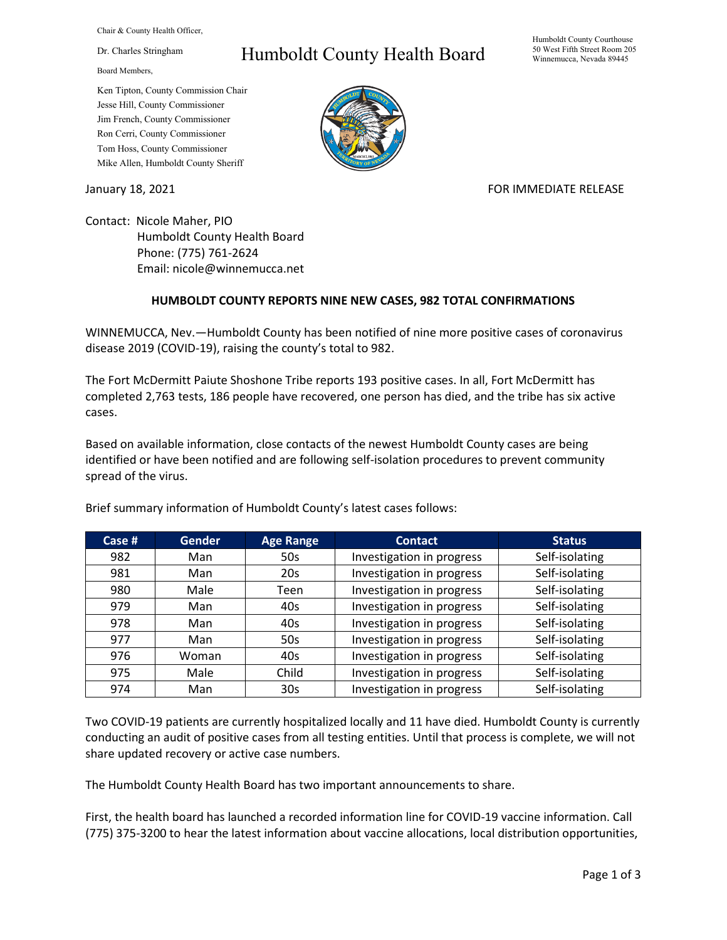Chair & County Health Officer,

Dr. Charles Stringham

Board Members,

## Ken Tipton, County Commission Chair Jesse Hill, County Commissioner Jim French, County Commissioner Ron Cerri, County Commissioner Tom Hoss, County Commissioner Mike Allen, Humboldt County Sheriff

## Humboldt County Health Board



## January 18, 2021 **FOR IMMEDIATE RELEASE**

Contact: Nicole Maher, PIO Humboldt County Health Board Phone: (775) 761-2624 Email: nicole@winnemucca.net

## **HUMBOLDT COUNTY REPORTS NINE NEW CASES, 982 TOTAL CONFIRMATIONS**

WINNEMUCCA, Nev.—Humboldt County has been notified of nine more positive cases of coronavirus disease 2019 (COVID-19), raising the county's total to 982.

The Fort McDermitt Paiute Shoshone Tribe reports 193 positive cases. In all, Fort McDermitt has completed 2,763 tests, 186 people have recovered, one person has died, and the tribe has six active cases.

Based on available information, close contacts of the newest Humboldt County cases are being identified or have been notified and are following self-isolation procedures to prevent community spread of the virus.

| Case $#$ | <b>Gender</b> | <b>Age Range</b> | <b>Contact</b>            | <b>Status</b>  |
|----------|---------------|------------------|---------------------------|----------------|
| 982      | Man           | 50s              | Investigation in progress | Self-isolating |
| 981      | Man           | 20 <sub>s</sub>  | Investigation in progress | Self-isolating |
| 980      | Male          | Teen             | Investigation in progress | Self-isolating |
| 979      | Man           | 40s              | Investigation in progress | Self-isolating |
| 978      | Man           | 40s              | Investigation in progress | Self-isolating |
| 977      | Man           | 50s              | Investigation in progress | Self-isolating |
| 976      | Woman         | 40s              | Investigation in progress | Self-isolating |
| 975      | Male          | Child            | Investigation in progress | Self-isolating |
| 974      | Man           | 30 <sub>s</sub>  | Investigation in progress | Self-isolating |

Brief summary information of Humboldt County's latest cases follows:

Two COVID-19 patients are currently hospitalized locally and 11 have died. Humboldt County is currently conducting an audit of positive cases from all testing entities. Until that process is complete, we will not share updated recovery or active case numbers.

The Humboldt County Health Board has two important announcements to share.

First, the health board has launched a recorded information line for COVID-19 vaccine information. Call (775) 375-3200 to hear the latest information about vaccine allocations, local distribution opportunities,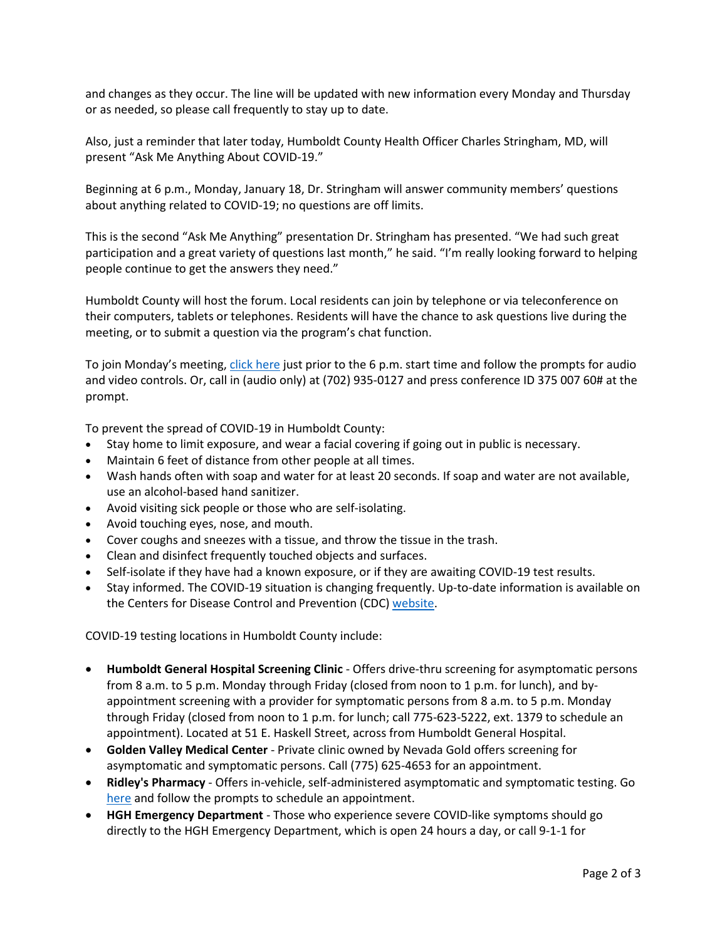and changes as they occur. The line will be updated with new information every Monday and Thursday or as needed, so please call frequently to stay up to date.

Also, just a reminder that later today, Humboldt County Health Officer Charles Stringham, MD, will present "Ask Me Anything About COVID-19."

Beginning at 6 p.m., Monday, January 18, Dr. Stringham will answer community members' questions about anything related to COVID-19; no questions are off limits.

This is the second "Ask Me Anything" presentation Dr. Stringham has presented. "We had such great participation and a great variety of questions last month," he said. "I'm really looking forward to helping people continue to get the answers they need."

Humboldt County will host the forum. Local residents can join by telephone or via teleconference on their computers, tablets or telephones. Residents will have the chance to ask questions live during the meeting, or to submit a question via the program's chat function.

To join Monday's meeting[, click here](https://teams.microsoft.com/dl/launcher/launcher.html?url=%2F_%23%2Fl%2Fmeetup-join%2F19%3Ameeting_MWEyYWNiZjEtMTc5ZS00MGUxLWExOWUtMGJiY2U4ZDkwYWE2%40thread.v2%2F0%3Fcontext%3D%257b%2522Tid%2522%253a%25221f916fc9-42a5-4df4-aa73-a286ee089776%2522%252c%2522Oid%2522%253a%2522cc14fbfb-410c-489e-96a2-434de4c55b04%2522%257d%26anon%3Dtrue&type=meetup-join&deeplinkId=c215b397-b0ca-4c09-82d9-3c79966c3770&directDl=true&msLaunch=true&enableMobilePage=true&suppressPrompt=true) just prior to the 6 p.m. start time and follow the prompts for audio and video controls. Or, call in (audio only) at (702) 935-0127 and press conference ID 375 007 60# at the prompt.

To prevent the spread of COVID-19 in Humboldt County:

- Stay home to limit exposure, and wear a facial covering if going out in public is necessary.
- Maintain 6 feet of distance from other people at all times.
- Wash hands often with soap and water for at least 20 seconds. If soap and water are not available, use an alcohol-based hand sanitizer.
- Avoid visiting sick people or those who are self-isolating.
- Avoid touching eyes, nose, and mouth.
- Cover coughs and sneezes with a tissue, and throw the tissue in the trash.
- Clean and disinfect frequently touched objects and surfaces.
- Self-isolate if they have had a known exposure, or if they are awaiting COVID-19 test results.
- Stay informed. The COVID-19 situation is changing frequently. Up-to-date information is available on the Centers for Disease Control and Prevention (CDC) [website.](http://www.cdc.gov/coronavirus/2019-ncov/index.html)

COVID-19 testing locations in Humboldt County include:

- **Humboldt General Hospital Screening Clinic** Offers drive-thru screening for asymptomatic persons from 8 a.m. to 5 p.m. Monday through Friday (closed from noon to 1 p.m. for lunch), and byappointment screening with a provider for symptomatic persons from 8 a.m. to 5 p.m. Monday through Friday (closed from noon to 1 p.m. for lunch; call 775-623-5222, ext. 1379 to schedule an appointment). Located at 51 E. Haskell Street, across from Humboldt General Hospital.
- **Golden Valley Medical Center** Private clinic owned by Nevada Gold offers screening for asymptomatic and symptomatic persons. Call (775) 625-4653 for an appointment.
- **Ridley's Pharmacy** Offers in-vehicle, self-administered asymptomatic and symptomatic testing. Go [here](https://www.doineedacovid19test.com/Winnemucca_NV_1098.html) and follow the prompts to schedule an appointment.
- **HGH Emergency Department**  Those who experience severe COVID-like symptoms should go directly to the HGH Emergency Department, which is open 24 hours a day, or call 9-1-1 for